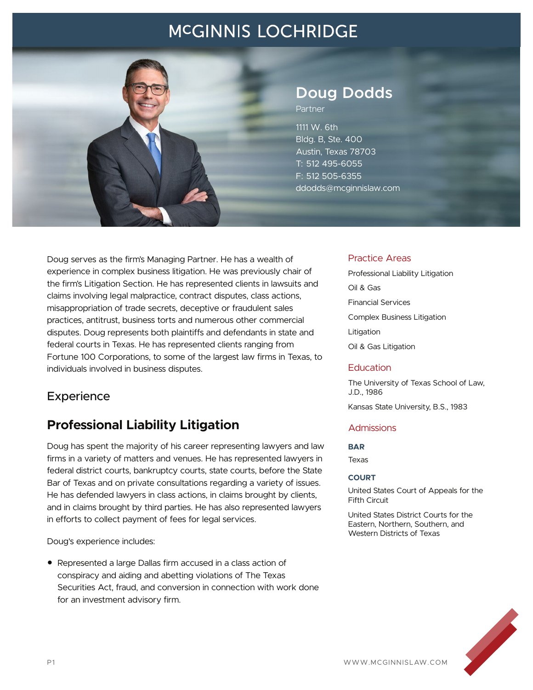

## **Doug Dodds**

Partner

1111 W. 6th Bldg. B, Ste. 400 Austin, Texas 78703 T: 512 495-6055 F: 512 505-6355 ddodds@mcginnislaw.com

Doug serves as the firm's Managing Partner. He has a wealth of experience in complex business litigation. He was previously chair of the firm's Litigation Section. He has represented clients in lawsuits and claims involving legal malpractice, contract disputes, class actions, misappropriation of trade secrets, deceptive or fraudulent sales practices, antitrust, business torts and numerous other commercial disputes. Doug represents both plaintiffs and defendants in state and federal courts in Texas. He has represented clients ranging from Fortune 100 Corporations, to some of the largest law firms in Texas, to individuals involved in business disputes.

### **Experience**

### **Professional Liability Litigation**

Doug has spent the majority of his career representing lawyers and law firms in a variety of matters and venues. He has represented lawyers in federal district courts, bankruptcy courts, state courts, before the State Bar of Texas and on private consultations regarding a variety of issues. He has defended lawyers in class actions, in claims brought by clients, and in claims brought by third parties. He has also represented lawyers in efforts to collect payment of fees for legal services.

Doug's experience includes:

● Represented a large Dallas firm accused in a class action of conspiracy and aiding and abetting violations of The Texas Securities Act, fraud, and conversion in connection with work done for an investment advisory firm.

#### Practice Areas

Professional Liability Litigation Oil & Gas Financial Services Complex Business Litigation Litigation Oil & Gas Litigation

#### **Education**

The University of Texas School of Law, J.D., 1986

Kansas State University, B.S., 1983

#### **Admissions**

#### **BAR**

Texas

#### **COURT**

United States Court of Appeals for the Fifth Circuit

United States District Courts for the Eastern, Northern, Southern, and Western Districts of Texas

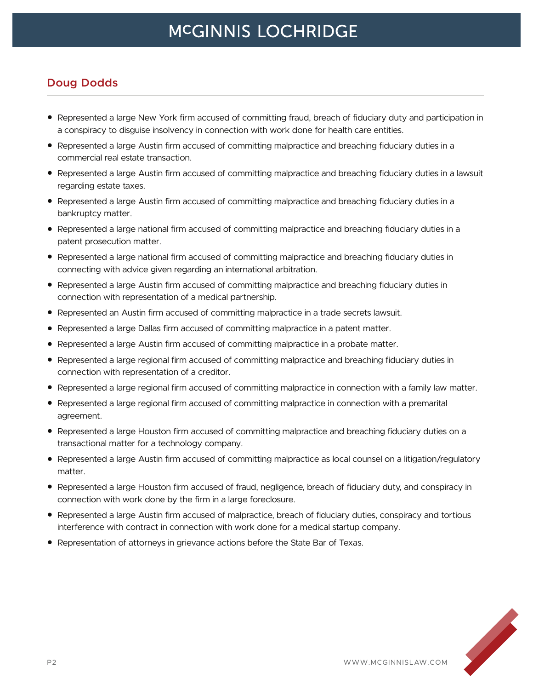#### **Doug Dodds**

- Represented a large New York firm accused of committing fraud, breach of fiduciary duty and participation in a conspiracy to disguise insolvency in connection with work done for health care entities.
- Represented a large Austin firm accused of committing malpractice and breaching fiduciary duties in a commercial real estate transaction.
- Represented a large Austin firm accused of committing malpractice and breaching fiduciary duties in a lawsuit regarding estate taxes.
- Represented a large Austin firm accused of committing malpractice and breaching fiduciary duties in a bankruptcy matter.
- Represented a large national firm accused of committing malpractice and breaching fiduciary duties in a patent prosecution matter.
- Represented a large national firm accused of committing malpractice and breaching fiduciary duties in connecting with advice given regarding an international arbitration.
- Represented a large Austin firm accused of committing malpractice and breaching fiduciary duties in connection with representation of a medical partnership.
- Represented an Austin firm accused of committing malpractice in a trade secrets lawsuit.
- Represented a large Dallas firm accused of committing malpractice in a patent matter.
- Represented a large Austin firm accused of committing malpractice in a probate matter.
- Represented a large regional firm accused of committing malpractice and breaching fiduciary duties in connection with representation of a creditor.
- Represented a large regional firm accused of committing malpractice in connection with a family law matter.
- Represented a large regional firm accused of committing malpractice in connection with a premarital agreement.
- Represented a large Houston firm accused of committing malpractice and breaching fiduciary duties on a transactional matter for a technology company.
- Represented a large Austin firm accused of committing malpractice as local counsel on a litigation/regulatory matter.
- Represented a large Houston firm accused of fraud, negligence, breach of fiduciary duty, and conspiracy in connection with work done by the firm in a large foreclosure.
- Represented a large Austin firm accused of malpractice, breach of fiduciary duties, conspiracy and tortious interference with contract in connection with work done for a medical startup company.
- Representation of attorneys in grievance actions before the State Bar of Texas.

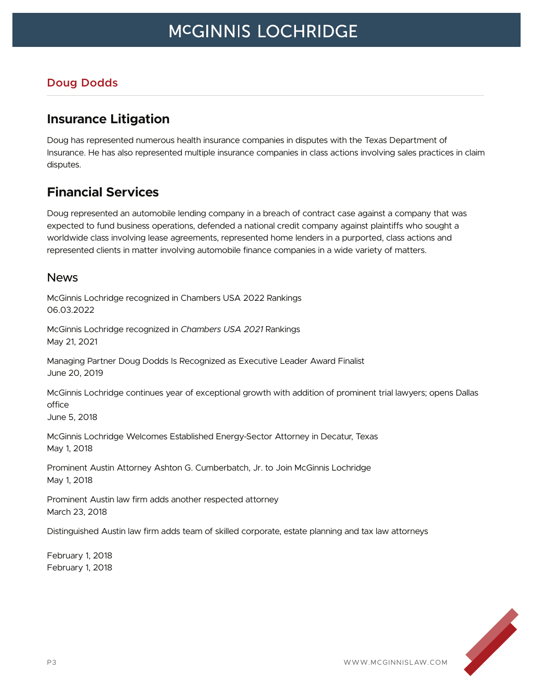#### **Doug Dodds**

### **Insurance Litigation**

Doug has represented numerous health insurance companies in disputes with the Texas Department of Insurance. He has also represented multiple insurance companies in class actions involving sales practices in claim disputes.

### **Financial Services**

Doug represented an automobile lending company in a breach of contract case against a company that was expected to fund business operations, defended a national credit company against plaintiffs who sought a worldwide class involving lease agreements, represented home lenders in a purported, class actions and represented clients in matter involving automobile finance companies in a wide variety of matters.

#### News

McGinnis Lochridge recognized in Chambers USA 2022 Rankings 06.03.2022

McGinnis Lochridge recognized in *Chambers USA 2021* Rankings May 21, 2021

Managing Partner Doug Dodds Is Recognized as Executive Leader Award Finalist June 20, 2019

McGinnis Lochridge continues year of exceptional growth with addition of prominent trial lawyers; opens Dallas office

June 5, 2018

McGinnis Lochridge Welcomes Established Energy-Sector Attorney in Decatur, Texas May 1, 2018

Prominent Austin Attorney Ashton G. Cumberbatch, Jr. to Join McGinnis Lochridge May 1, 2018

Prominent Austin law firm adds another respected attorney March 23, 2018

Distinguished Austin law firm adds team of skilled corporate, estate planning and tax law attorneys

February 1, 2018 February 1, 2018

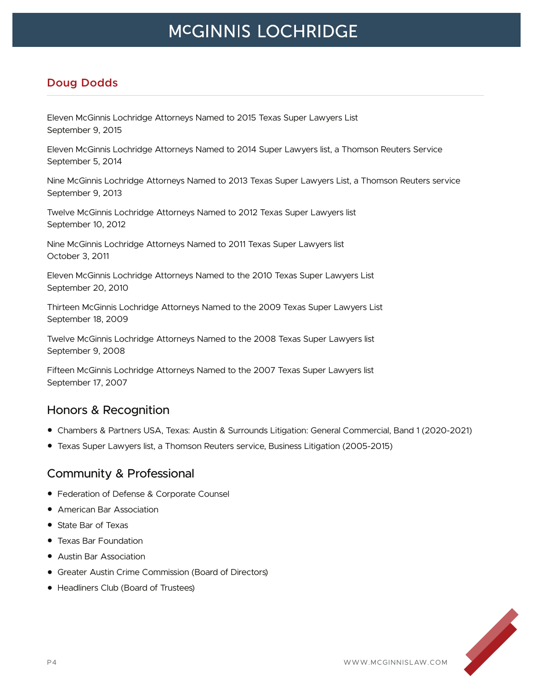### **Doug Dodds**

Eleven McGinnis Lochridge Attorneys Named to 2015 Texas Super Lawyers List September 9, 2015

Eleven McGinnis Lochridge Attorneys Named to 2014 Super Lawyers list, a Thomson Reuters Service September 5, 2014

Nine McGinnis Lochridge Attorneys Named to 2013 Texas Super Lawyers List, a Thomson Reuters service September 9, 2013

Twelve McGinnis Lochridge Attorneys Named to 2012 Texas Super Lawyers list September 10, 2012

Nine McGinnis Lochridge Attorneys Named to 2011 Texas Super Lawyers list October 3, 2011

Eleven McGinnis Lochridge Attorneys Named to the 2010 Texas Super Lawyers List September 20, 2010

Thirteen McGinnis Lochridge Attorneys Named to the 2009 Texas Super Lawyers List September 18, 2009

Twelve McGinnis Lochridge Attorneys Named to the 2008 Texas Super Lawyers list September 9, 2008

Fifteen McGinnis Lochridge Attorneys Named to the 2007 Texas Super Lawyers list September 17, 2007

#### Honors & Recognition

- Chambers & Partners USA, Texas: Austin & Surrounds Litigation: General Commercial, Band 1 (2020-2021)
- Texas Super Lawyers list, a Thomson Reuters service, Business Litigation (2005-2015)

#### Community & Professional

- Federation of Defense & Corporate Counsel
- American Bar Association
- State Bar of Texas
- Texas Bar Foundation
- Austin Bar Association
- Greater Austin Crime Commission (Board of Directors)
- Headliners Club (Board of Trustees)